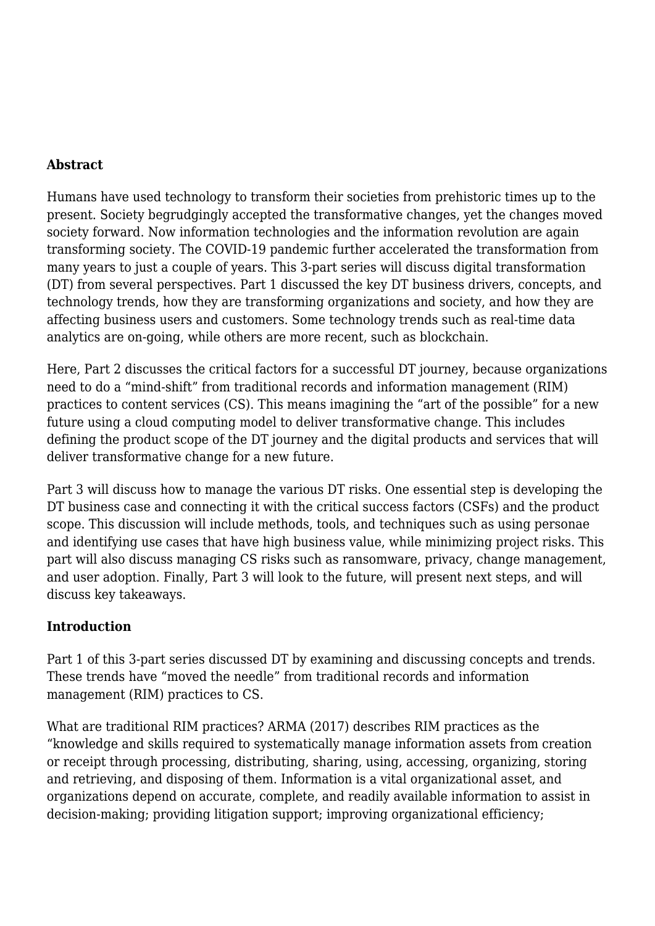#### **Abstract**

Humans have used technology to transform their societies from prehistoric times up to the present. Society begrudgingly accepted the transformative changes, yet the changes moved society forward. Now information technologies and the information revolution are again transforming society. The COVID-19 pandemic further accelerated the transformation from many years to just a couple of years. This 3-part series will discuss digital transformation (DT) from several perspectives. Part 1 discussed the key DT business drivers, concepts, and technology trends, how they are transforming organizations and society, and how they are affecting business users and customers. Some technology trends such as real-time data analytics are on-going, while others are more recent, such as blockchain.

Here, Part 2 discusses the critical factors for a successful DT journey, because organizations need to do a "mind-shift" from traditional records and information management (RIM) practices to content services (CS). This means imagining the "art of the possible" for a new future using a cloud computing model to deliver transformative change. This includes defining the product scope of the DT journey and the digital products and services that will deliver transformative change for a new future.

Part 3 will discuss how to manage the various DT risks. One essential step is developing the DT business case and connecting it with the critical success factors (CSFs) and the product scope. This discussion will include methods, tools, and techniques such as using personae and identifying use cases that have high business value, while minimizing project risks. This part will also discuss managing CS risks such as ransomware, privacy, change management, and user adoption. Finally, Part 3 will look to the future, will present next steps, and will discuss key takeaways.

# **Introduction**

Part 1 of this 3-part series discussed DT by examining and discussing concepts and trends. These trends have "moved the needle" from traditional records and information management (RIM) practices to CS.

What are traditional RIM practices? ARMA (2017) describes RIM practices as the "knowledge and skills required to systematically manage information assets from creation or receipt through processing, distributing, sharing, using, accessing, organizing, storing and retrieving, and disposing of them. Information is a vital organizational asset, and organizations depend on accurate, complete, and readily available information to assist in decision-making; providing litigation support; improving organizational efficiency;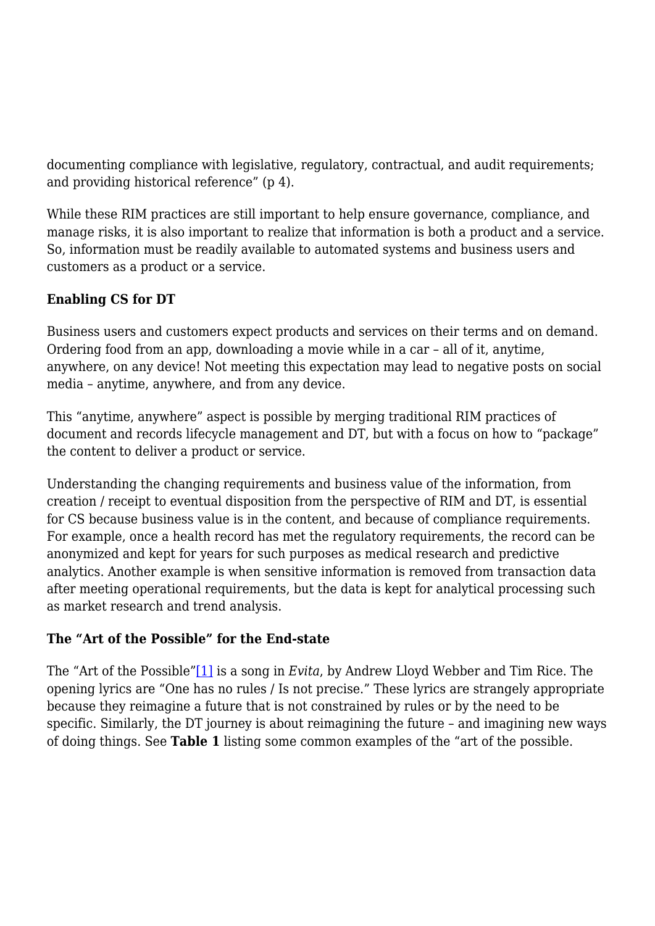documenting compliance with legislative, regulatory, contractual, and audit requirements; and providing historical reference" (p 4).

While these RIM practices are still important to help ensure governance, compliance, and manage risks, it is also important to realize that information is both a product and a service. So, information must be readily available to automated systems and business users and customers as a product or a service.

# **Enabling CS for DT**

Business users and customers expect products and services on their terms and on demand. Ordering food from an app, downloading a movie while in a car – all of it, anytime, anywhere, on any device! Not meeting this expectation may lead to negative posts on social media – anytime, anywhere, and from any device.

This "anytime, anywhere" aspect is possible by merging traditional RIM practices of document and records lifecycle management and DT, but with a focus on how to "package" the content to deliver a product or service.

Understanding the changing requirements and business value of the information, from creation / receipt to eventual disposition from the perspective of RIM and DT, is essential for CS because business value is in the content, and because of compliance requirements. For example, once a health record has met the regulatory requirements, the record can be anonymized and kept for years for such purposes as medical research and predictive analytics. Another example is when sensitive information is removed from transaction data after meeting operational requirements, but the data is kept for analytical processing such as market research and trend analysis.

# **The "Art of the Possible" for the End-state**

The "Art of the Possible["\[1\]](#page--1-0) is a song in *Evita*, by Andrew Lloyd Webber and Tim Rice. The opening lyrics are "One has no rules / Is not precise." These lyrics are strangely appropriate because they reimagine a future that is not constrained by rules or by the need to be specific. Similarly, the DT journey is about reimagining the future – and imagining new ways of doing things. See **Table 1** listing some common examples of the "art of the possible.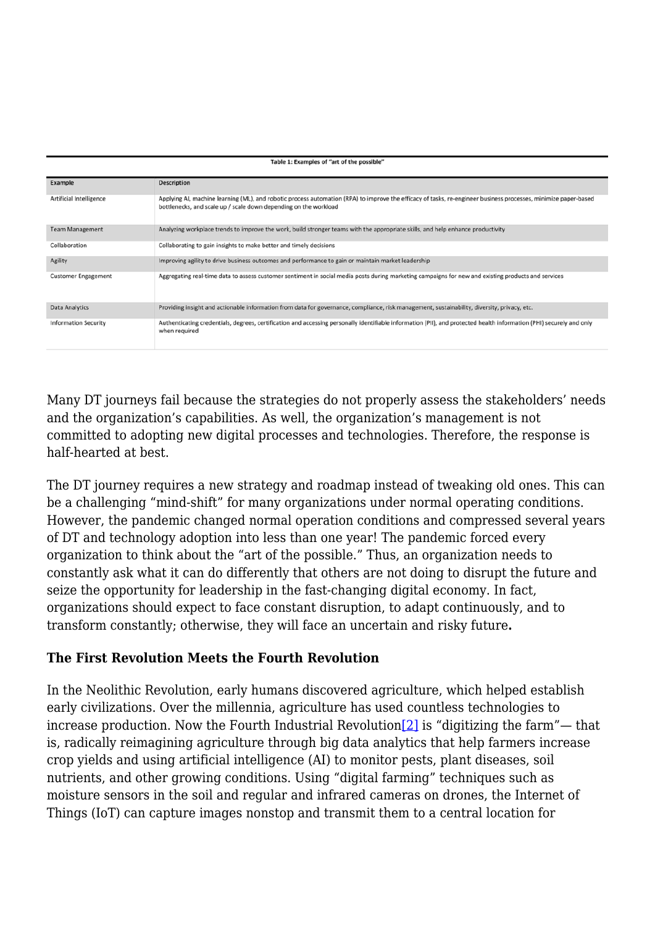| Table 1: Examples of "art of the possible" |                                                                                                                                                                                                                                     |  |
|--------------------------------------------|-------------------------------------------------------------------------------------------------------------------------------------------------------------------------------------------------------------------------------------|--|
|                                            |                                                                                                                                                                                                                                     |  |
| Example                                    | <b>Description</b>                                                                                                                                                                                                                  |  |
| Artificial Intelligence                    | Applying AI, machine learning (ML), and robotic process automation (RPA) to improve the efficacy of tasks, re-engineer business processes, minimize paper-based<br>bottlenecks, and scale up / scale down depending on the workload |  |
| <b>Team Management</b>                     | Analyzing workplace trends to improve the work, build stronger teams with the appropriate skills, and help enhance productivity                                                                                                     |  |
| Collaboration                              | Collaborating to gain insights to make better and timely decisions                                                                                                                                                                  |  |
| Agility                                    | Improving agility to drive business outcomes and performance to gain or maintain market leadership                                                                                                                                  |  |
| <b>Customer Engagement</b>                 | Aggregating real-time data to assess customer sentiment in social media posts during marketing campaigns for new and existing products and services                                                                                 |  |
| Data Analytics                             | Providing insight and actionable information from data for governance, compliance, risk management, sustainability, diversity, privacy, etc.                                                                                        |  |
| <b>Information Security</b>                | Authenticating credentials, degrees, certification and accessing personally identifiable information (PII), and protected health information (PHI) securely and only<br>when required                                               |  |

Many DT journeys fail because the strategies do not properly assess the stakeholders' needs and the organization's capabilities. As well, the organization's management is not committed to adopting new digital processes and technologies. Therefore, the response is half-hearted at best.

The DT journey requires a new strategy and roadmap instead of tweaking old ones. This can be a challenging "mind-shift" for many organizations under normal operating conditions. However, the pandemic changed normal operation conditions and compressed several years of DT and technology adoption into less than one year! The pandemic forced every organization to think about the "art of the possible." Thus, an organization needs to constantly ask what it can do differently that others are not doing to disrupt the future and seize the opportunity for leadership in the fast-changing digital economy. In fact, organizations should expect to face constant disruption, to adapt continuously, and to transform constantly; otherwise, they will face an uncertain and risky future**.**

#### **The First Revolution Meets the Fourth Revolution**

In the Neolithic Revolution, early humans discovered agriculture, which helped establish early civilizations. Over the millennia, agriculture has used countless technologies to increase production. Now the Fourth Industrial Revolution  $[2]$  is "digitizing the farm"— that is, radically reimagining agriculture through big data analytics that help farmers increase crop yields and using artificial intelligence (AI) to monitor pests, plant diseases, soil nutrients, and other growing conditions. Using "digital farming" techniques such as moisture sensors in the soil and regular and infrared cameras on drones, the Internet of Things (IoT) can capture images nonstop and transmit them to a central location for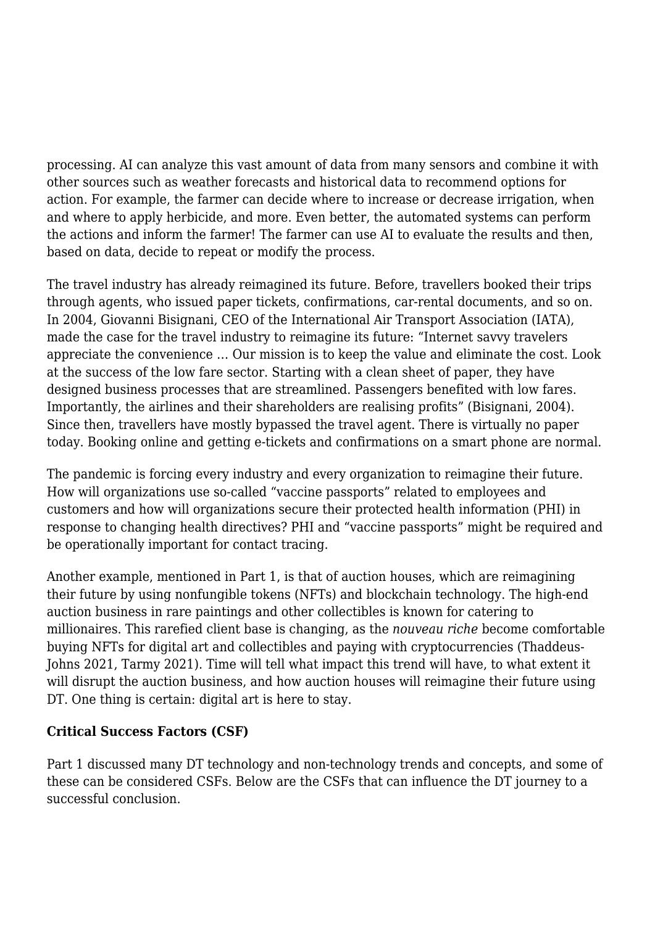processing. AI can analyze this vast amount of data from many sensors and combine it with other sources such as weather forecasts and historical data to recommend options for action. For example, the farmer can decide where to increase or decrease irrigation, when and where to apply herbicide, and more. Even better, the automated systems can perform the actions and inform the farmer! The farmer can use AI to evaluate the results and then, based on data, decide to repeat or modify the process.

The travel industry has already reimagined its future. Before, travellers booked their trips through agents, who issued paper tickets, confirmations, car-rental documents, and so on. In 2004, Giovanni Bisignani, CEO of the International Air Transport Association (IATA), made the case for the travel industry to reimagine its future: "Internet savvy travelers appreciate the convenience … Our mission is to keep the value and eliminate the cost. Look at the success of the low fare sector. Starting with a clean sheet of paper, they have designed business processes that are streamlined. Passengers benefited with low fares. Importantly, the airlines and their shareholders are realising profits" (Bisignani, 2004). Since then, travellers have mostly bypassed the travel agent. There is virtually no paper today. Booking online and getting e-tickets and confirmations on a smart phone are normal.

The pandemic is forcing every industry and every organization to reimagine their future. How will organizations use so-called "vaccine passports" related to employees and customers and how will organizations secure their protected health information (PHI) in response to changing health directives? PHI and "vaccine passports" might be required and be operationally important for contact tracing.

Another example, mentioned in Part 1, is that of auction houses, which are reimagining their future by using nonfungible tokens (NFTs) and blockchain technology. The high-end auction business in rare paintings and other collectibles is known for catering to millionaires. This rarefied client base is changing, as the *nouveau riche* become comfortable buying NFTs for digital art and collectibles and paying with cryptocurrencies (Thaddeus-Johns 2021, Tarmy 2021). Time will tell what impact this trend will have, to what extent it will disrupt the auction business, and how auction houses will reimagine their future using DT. One thing is certain: digital art is here to stay.

# **Critical Success Factors (CSF)**

Part 1 discussed many DT technology and non-technology trends and concepts, and some of these can be considered CSFs. Below are the CSFs that can influence the DT journey to a successful conclusion.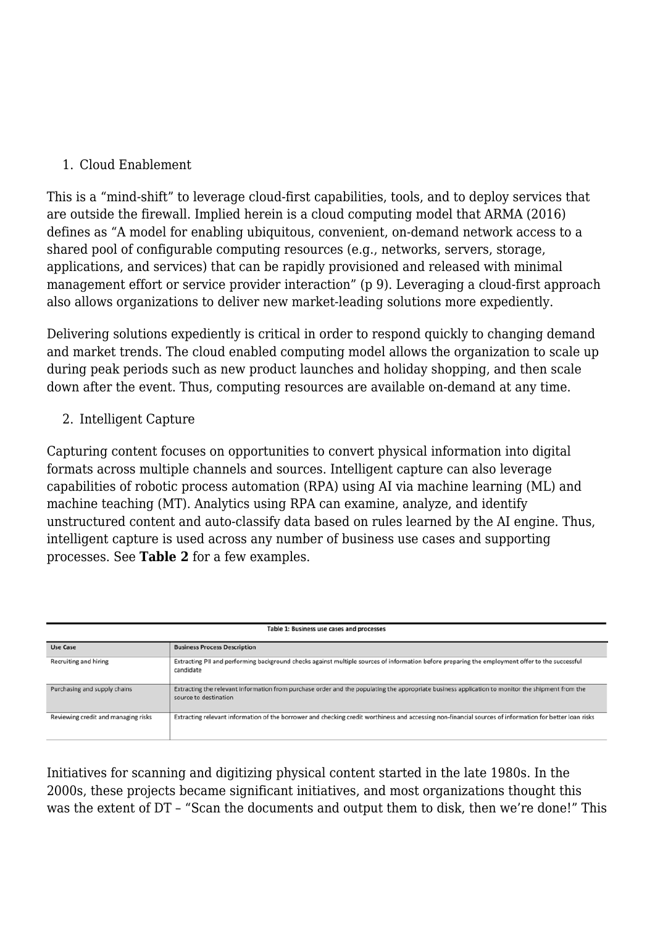#### 1. Cloud Enablement

This is a "mind-shift" to leverage cloud-first capabilities, tools, and to deploy services that are outside the firewall. Implied herein is a cloud computing model that ARMA (2016) defines as "A model for enabling ubiquitous, convenient, on-demand network access to a shared pool of configurable computing resources (e.g., networks, servers, storage, applications, and services) that can be rapidly provisioned and released with minimal management effort or service provider interaction" (p 9). Leveraging a cloud-first approach also allows organizations to deliver new market-leading solutions more expediently.

Delivering solutions expediently is critical in order to respond quickly to changing demand and market trends. The cloud enabled computing model allows the organization to scale up during peak periods such as new product launches and holiday shopping, and then scale down after the event. Thus, computing resources are available on-demand at any time.

#### 2. Intelligent Capture

Capturing content focuses on opportunities to convert physical information into digital formats across multiple channels and sources. Intelligent capture can also leverage capabilities of robotic process automation (RPA) using AI via machine learning (ML) and machine teaching (MT). Analytics using RPA can examine, analyze, and identify unstructured content and auto-classify data based on rules learned by the AI engine. Thus, intelligent capture is used across any number of business use cases and supporting processes. See **Table 2** for a few examples.

| Table 1: Business use cases and processes |                                                                                                                                                                           |  |  |
|-------------------------------------------|---------------------------------------------------------------------------------------------------------------------------------------------------------------------------|--|--|
| <b>Use Case</b>                           | <b>Business Process Description</b>                                                                                                                                       |  |  |
| Recruiting and hiring                     | Extracting PII and performing background checks against multiple sources of information before preparing the employment offer to the successful<br>candidate              |  |  |
| Purchasing and supply chains              | Extracting the relevant information from purchase order and the populating the appropriate business application to monitor the shipment from the<br>source to destination |  |  |
| Reviewing credit and managing risks       | Extracting relevant information of the borrower and checking credit worthiness and accessing non-financial sources of information for better loan risks                   |  |  |

Initiatives for scanning and digitizing physical content started in the late 1980s. In the 2000s, these projects became significant initiatives, and most organizations thought this was the extent of DT – "Scan the documents and output them to disk, then we're done!" This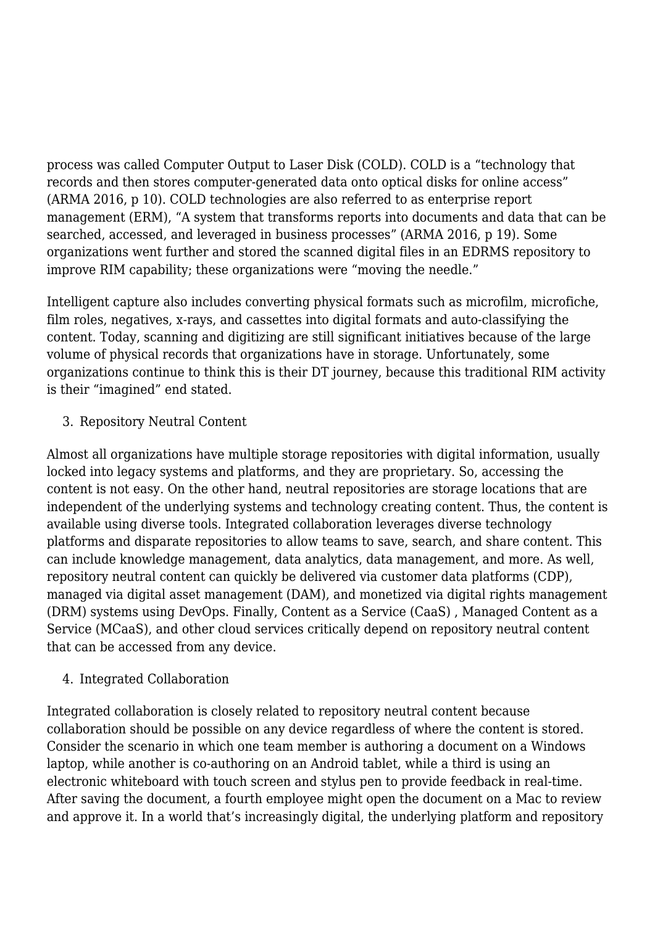process was called Computer Output to Laser Disk (COLD). COLD is a "technology that records and then stores computer-generated data onto optical disks for online access" (ARMA 2016, p 10). COLD technologies are also referred to as enterprise report management (ERM), "A system that transforms reports into documents and data that can be searched, accessed, and leveraged in business processes" (ARMA 2016, p 19). Some organizations went further and stored the scanned digital files in an EDRMS repository to improve RIM capability; these organizations were "moving the needle."

Intelligent capture also includes converting physical formats such as microfilm, microfiche, film roles, negatives, x-rays, and cassettes into digital formats and auto-classifying the content. Today, scanning and digitizing are still significant initiatives because of the large volume of physical records that organizations have in storage. Unfortunately, some organizations continue to think this is their DT journey, because this traditional RIM activity is their "imagined" end stated.

3. Repository Neutral Content

Almost all organizations have multiple storage repositories with digital information, usually locked into legacy systems and platforms, and they are proprietary. So, accessing the content is not easy. On the other hand, neutral repositories are storage locations that are independent of the underlying systems and technology creating content. Thus, the content is available using diverse tools. Integrated collaboration leverages diverse technology platforms and disparate repositories to allow teams to save, search, and share content. This can include knowledge management, data analytics, data management, and more. As well, repository neutral content can quickly be delivered via customer data platforms (CDP), managed via digital asset management (DAM), and monetized via digital rights management (DRM) systems using DevOps. Finally, Content as a Service (CaaS) , Managed Content as a Service (MCaaS), and other cloud services critically depend on repository neutral content that can be accessed from any device.

#### 4. Integrated Collaboration

Integrated collaboration is closely related to repository neutral content because collaboration should be possible on any device regardless of where the content is stored. Consider the scenario in which one team member is authoring a document on a Windows laptop, while another is co-authoring on an Android tablet, while a third is using an electronic whiteboard with touch screen and stylus pen to provide feedback in real-time. After saving the document, a fourth employee might open the document on a Mac to review and approve it. In a world that's increasingly digital, the underlying platform and repository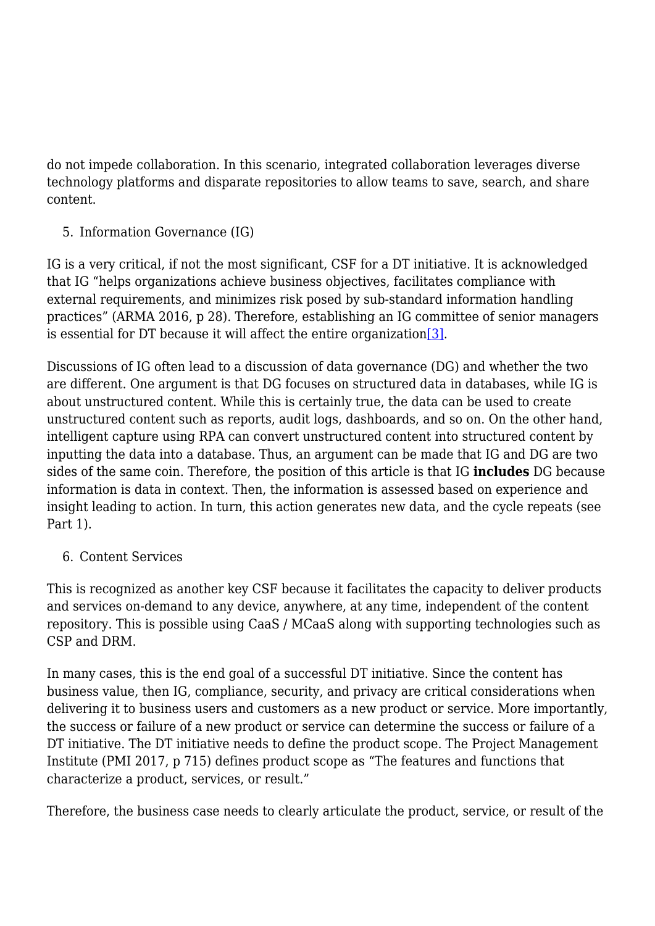do not impede collaboration. In this scenario, integrated collaboration leverages diverse technology platforms and disparate repositories to allow teams to save, search, and share content.

5. Information Governance (IG)

IG is a very critical, if not the most significant, CSF for a DT initiative. It is acknowledged that IG "helps organizations achieve business objectives, facilitates compliance with external requirements, and minimizes risk posed by sub-standard information handling practices" (ARMA 2016, p 28). Therefore, establishing an IG committee of senior managers is essential for DT because it will affect the entire organization  $[3]$ .

Discussions of IG often lead to a discussion of data governance (DG) and whether the two are different. One argument is that DG focuses on structured data in databases, while IG is about unstructured content. While this is certainly true, the data can be used to create unstructured content such as reports, audit logs, dashboards, and so on. On the other hand, intelligent capture using RPA can convert unstructured content into structured content by inputting the data into a database. Thus, an argument can be made that IG and DG are two sides of the same coin. Therefore, the position of this article is that IG **includes** DG because information is data in context. Then, the information is assessed based on experience and insight leading to action. In turn, this action generates new data, and the cycle repeats (see Part 1).

6. Content Services

This is recognized as another key CSF because it facilitates the capacity to deliver products and services on-demand to any device, anywhere, at any time, independent of the content repository. This is possible using CaaS / MCaaS along with supporting technologies such as CSP and DRM.

In many cases, this is the end goal of a successful DT initiative. Since the content has business value, then IG, compliance, security, and privacy are critical considerations when delivering it to business users and customers as a new product or service. More importantly, the success or failure of a new product or service can determine the success or failure of a DT initiative. The DT initiative needs to define the product scope. The Project Management Institute (PMI 2017, p 715) defines product scope as "The features and functions that characterize a product, services, or result."

Therefore, the business case needs to clearly articulate the product, service, or result of the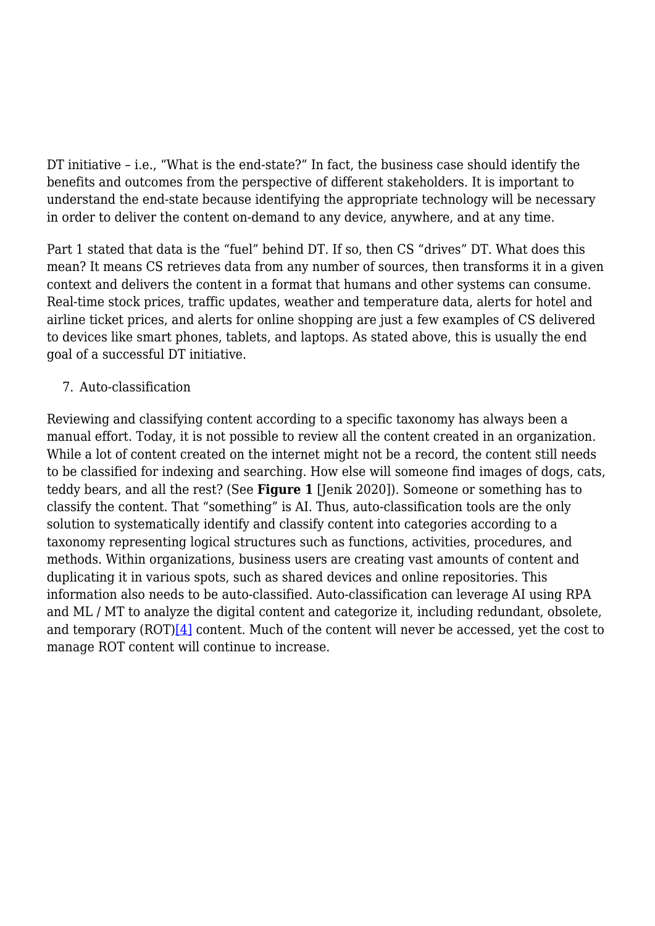DT initiative – i.e., "What is the end-state?" In fact, the business case should identify the benefits and outcomes from the perspective of different stakeholders. It is important to understand the end-state because identifying the appropriate technology will be necessary in order to deliver the content on-demand to any device, anywhere, and at any time.

Part 1 stated that data is the "fuel" behind DT. If so, then CS "drives" DT. What does this mean? It means CS retrieves data from any number of sources, then transforms it in a given context and delivers the content in a format that humans and other systems can consume. Real-time stock prices, traffic updates, weather and temperature data, alerts for hotel and airline ticket prices, and alerts for online shopping are just a few examples of CS delivered to devices like smart phones, tablets, and laptops. As stated above, this is usually the end goal of a successful DT initiative.

#### 7. Auto-classification

Reviewing and classifying content according to a specific taxonomy has always been a manual effort. Today, it is not possible to review all the content created in an organization. While a lot of content created on the internet might not be a record, the content still needs to be classified for indexing and searching. How else will someone find images of dogs, cats, teddy bears, and all the rest? (See **Figure 1** [Jenik 2020]). Someone or something has to classify the content. That "something" is AI. Thus, auto-classification tools are the only solution to systematically identify and classify content into categories according to a taxonomy representing logical structures such as functions, activities, procedures, and methods. Within organizations, business users are creating vast amounts of content and duplicating it in various spots, such as shared devices and online repositories. This information also needs to be auto-classified. Auto-classification can leverage AI using RPA and ML / MT to analyze the digital content and categorize it, including redundant, obsolete, and temporary  $(ROT)[4]$  content. Much of the content will never be accessed, yet the cost to manage ROT content will continue to increase.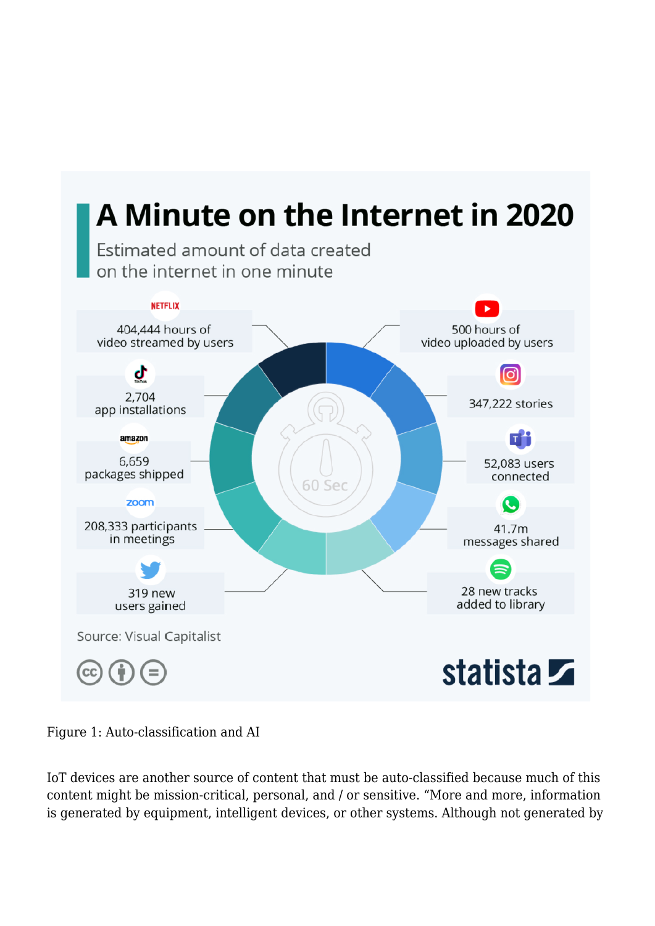

Figure 1: Auto-classification and AI

IoT devices are another source of content that must be auto-classified because much of this content might be mission-critical, personal, and / or sensitive. "More and more, information is generated by equipment, intelligent devices, or other systems. Although not generated by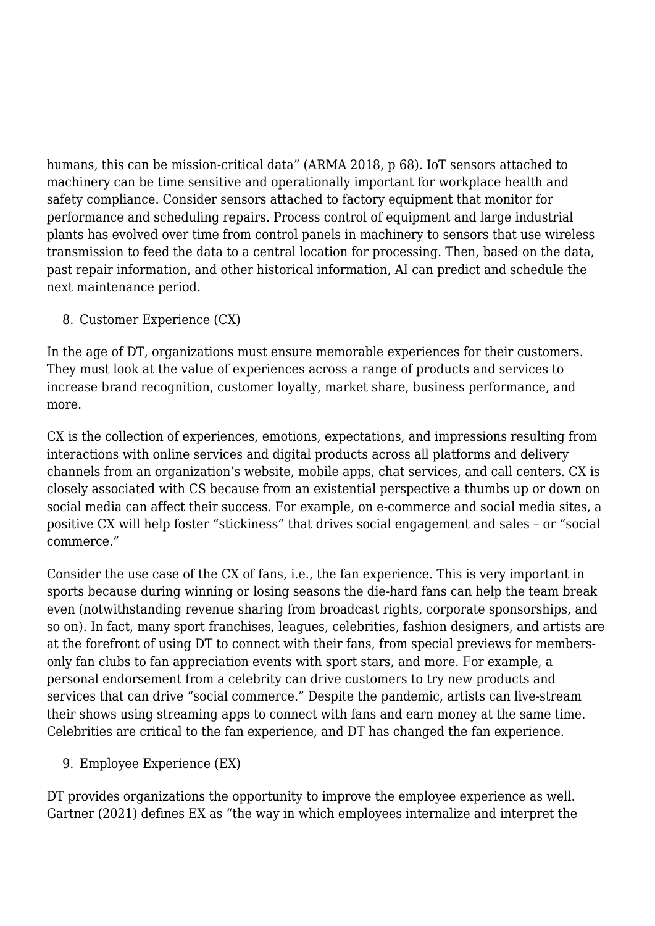humans, this can be mission-critical data" (ARMA 2018, p 68). IoT sensors attached to machinery can be time sensitive and operationally important for workplace health and safety compliance. Consider sensors attached to factory equipment that monitor for performance and scheduling repairs. Process control of equipment and large industrial plants has evolved over time from control panels in machinery to sensors that use wireless transmission to feed the data to a central location for processing. Then, based on the data, past repair information, and other historical information, AI can predict and schedule the next maintenance period.

8. Customer Experience (CX)

In the age of DT, organizations must ensure memorable experiences for their customers. They must look at the value of experiences across a range of products and services to increase brand recognition, customer loyalty, market share, business performance, and more.

CX is the collection of experiences, emotions, expectations, and impressions resulting from interactions with online services and digital products across all platforms and delivery channels from an organization's website, mobile apps, chat services, and call centers. CX is closely associated with CS because from an existential perspective a thumbs up or down on social media can affect their success. For example, on e-commerce and social media sites, a positive CX will help foster "stickiness" that drives social engagement and sales – or "social commerce."

Consider the use case of the CX of fans, i.e., the fan experience. This is very important in sports because during winning or losing seasons the die-hard fans can help the team break even (notwithstanding revenue sharing from broadcast rights, corporate sponsorships, and so on). In fact, many sport franchises, leagues, celebrities, fashion designers, and artists are at the forefront of using DT to connect with their fans, from special previews for membersonly fan clubs to fan appreciation events with sport stars, and more. For example, a personal endorsement from a celebrity can drive customers to try new products and services that can drive "social commerce." Despite the pandemic, artists can live-stream their shows using streaming apps to connect with fans and earn money at the same time. Celebrities are critical to the fan experience, and DT has changed the fan experience.

9. Employee Experience (EX)

DT provides organizations the opportunity to improve the employee experience as well. Gartner (2021) defines EX as "the way in which employees internalize and interpret the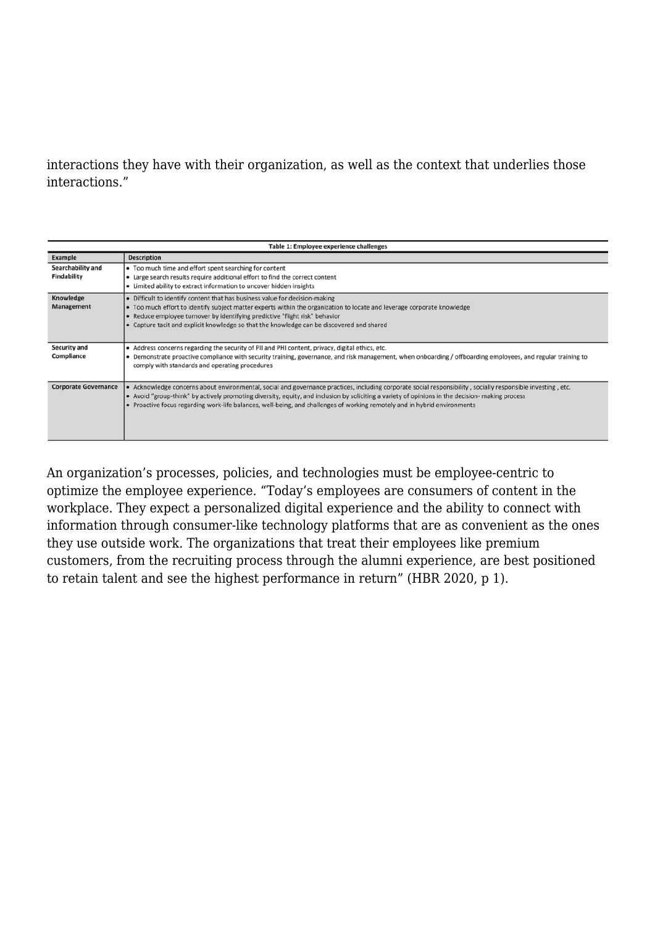#### interactions they have with their organization, as well as the context that underlies those interactions."

| Table 1: Employee experience challenges |                                                                                                                                                                                                                                                                                                                                                                                                                                               |  |
|-----------------------------------------|-----------------------------------------------------------------------------------------------------------------------------------------------------------------------------------------------------------------------------------------------------------------------------------------------------------------------------------------------------------------------------------------------------------------------------------------------|--|
| Example                                 | <b>Description</b>                                                                                                                                                                                                                                                                                                                                                                                                                            |  |
| Searchability and<br><b>Findability</b> | • Too much time and effort spent searching for content<br>• Large search results require additional effort to find the correct content<br>• Limited ability to extract information to uncover hidden insights                                                                                                                                                                                                                                 |  |
| Knowledge<br>Management                 | • Difficult to identify content that has business value for decision-making<br>• Too much effort to identify subject matter experts within the organization to locate and leverage corporate knowledge<br>• Reduce employee turnover by identifying predictive "flight risk" behavior<br>• Capture tacit and explicit knowledge so that the knowledge can be discovered and shared                                                            |  |
| <b>Security and</b><br>Compliance       | • Address concerns regarding the security of PII and PHI content, privacy, digital ethics, etc.<br>• Demonstrate proactive compliance with security training, governance, and risk management, when onboarding / offboarding employees, and regular training to<br>comply with standards and operating procedures                                                                                                                             |  |
| <b>Corporate Governance</b>             | • Acknowledge concerns about environmental, social and governance practices, including corporate social responsibility, socially responsible investing, etc.<br>• Avoid "group-think" by actively promoting diversity, equity, and inclusion by soliciting a variety of opinions in the decision- making process<br>• Proactive focus regarding work-life balances, well-being, and challenges of working remotely and in hybrid environments |  |

An organization's processes, policies, and technologies must be employee-centric to optimize the employee experience. "Today's employees are consumers of content in the workplace. They expect a personalized digital experience and the ability to connect with information through consumer-like technology platforms that are as convenient as the ones they use outside work. The organizations that treat their employees like premium customers, from the recruiting process through the alumni experience, are best positioned to retain talent and see the highest performance in return" (HBR 2020, p 1).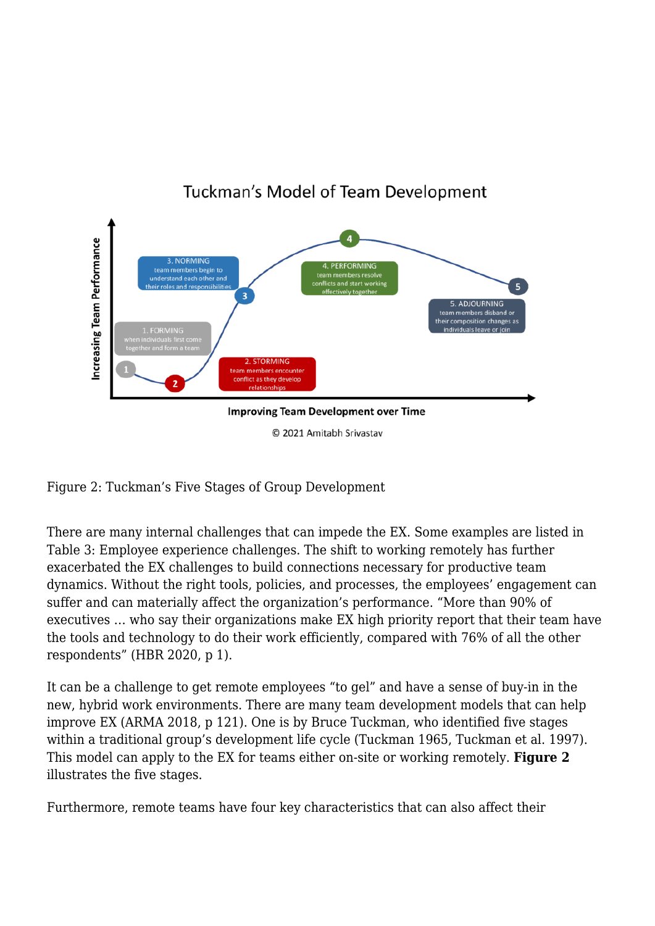

# Tuckman's Model of Team Development

© 2021 Amitabh Srivastav

Figure 2: Tuckman's Five Stages of Group Development

There are many internal challenges that can impede the EX. Some examples are listed in Table 3: Employee experience challenges. The shift to working remotely has further exacerbated the EX challenges to build connections necessary for productive team dynamics. Without the right tools, policies, and processes, the employees' engagement can suffer and can materially affect the organization's performance. "More than 90% of executives … who say their organizations make EX high priority report that their team have the tools and technology to do their work efficiently, compared with 76% of all the other respondents" (HBR 2020, p 1).

It can be a challenge to get remote employees "to gel" and have a sense of buy-in in the new, hybrid work environments. There are many team development models that can help improve EX (ARMA 2018, p 121). One is by Bruce Tuckman, who identified five stages within a traditional group's development life cycle (Tuckman 1965, Tuckman et al. 1997). This model can apply to the EX for teams either on-site or working remotely. **Figure 2** illustrates the five stages.

Furthermore, remote teams have four key characteristics that can also affect their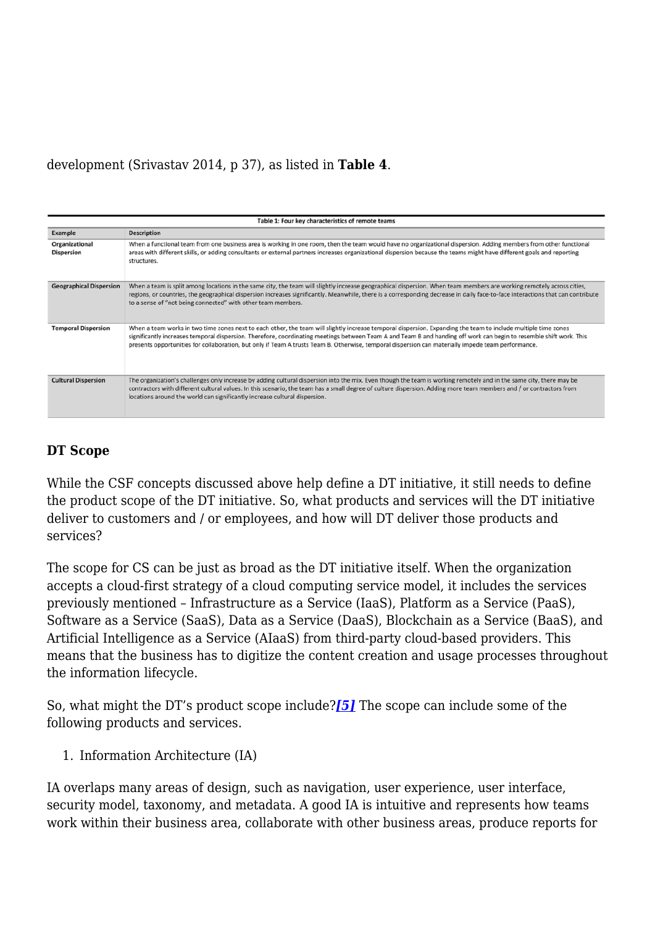development (Srivastav 2014, p 37), as listed in **Table 4**.

| Table 1: Four key characteristics of remote teams |                                                                                                                                                                                                                                                                                                                                                                                                                                                                                             |  |
|---------------------------------------------------|---------------------------------------------------------------------------------------------------------------------------------------------------------------------------------------------------------------------------------------------------------------------------------------------------------------------------------------------------------------------------------------------------------------------------------------------------------------------------------------------|--|
| Example                                           | <b>Description</b>                                                                                                                                                                                                                                                                                                                                                                                                                                                                          |  |
| Organizational<br><b>Dispersion</b>               | When a functional team from one business area is working in one room, then the team would have no organizational dispersion. Adding members from other functional<br>areas with different skills, or adding consultants or external partners increases organizational dispersion because the teams might have different goals and reporting<br>structures.                                                                                                                                  |  |
| <b>Geographical Dispersion</b>                    | When a team is split among locations in the same city, the team will slightly increase geographical dispersion. When team members are working remotely across cities,<br>regions, or countries, the geographical dispersion increases significantly. Meanwhile, there is a corresponding decrease in daily face-to-face interactions that can contribute<br>to a sense of "not being connected" with other team members.                                                                    |  |
| <b>Temporal Dispersion</b>                        | When a team works in two time zones next to each other, the team will slightly increase temporal dispersion. Expanding the team to include multiple time zones<br>significantly increases temporal dispersion. Therefore, coordinating meetings between Team A and Team B and handing off work can begin to resemble shift work. This<br>presents opportunities for collaboration, but only if Team A trusts Team B. Otherwise, temporal dispersion can materially impede team performance. |  |
| <b>Cultural Dispersion</b>                        | The organization's challenges only increase by adding cultural dispersion into the mix. Even though the team is working remotely and in the same city, there may be<br>contractors with different cultural values. In this scenario, the team has a small degree of culture dispersion. Adding more team members and / or contractors from<br>locations around the world can significantly increase cultural dispersion.                                                                    |  |

# **DT Scope**

While the CSF concepts discussed above help define a DT initiative, it still needs to define the product scope of the DT initiative. So, what products and services will the DT initiative deliver to customers and / or employees, and how will DT deliver those products and services?

The scope for CS can be just as broad as the DT initiative itself. When the organization accepts a cloud-first strategy of a cloud computing service model, it includes the services previously mentioned – Infrastructure as a Service (IaaS), Platform as a Service (PaaS), Software as a Service (SaaS), Data as a Service (DaaS), Blockchain as a Service (BaaS), and Artificial Intelligence as a Service (AIaaS) from third-party cloud-based providers. This means that the business has to digitize the content creation and usage processes throughout the information lifecycle.

So, what might the DT's product scope include?*[\[5\]](#page--1-0)* The scope can include some of the following products and services.

1. Information Architecture (IA)

IA overlaps many areas of design, such as navigation, user experience, user interface, security model, taxonomy, and metadata. A good IA is intuitive and represents how teams work within their business area, collaborate with other business areas, produce reports for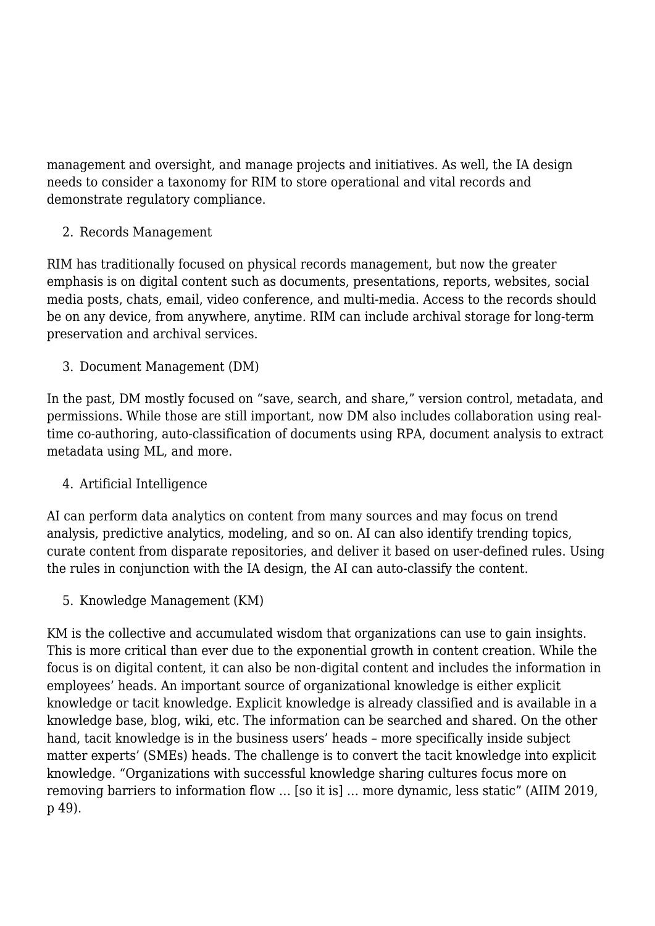management and oversight, and manage projects and initiatives. As well, the IA design needs to consider a taxonomy for RIM to store operational and vital records and demonstrate regulatory compliance.

### 2. Records Management

RIM has traditionally focused on physical records management, but now the greater emphasis is on digital content such as documents, presentations, reports, websites, social media posts, chats, email, video conference, and multi-media. Access to the records should be on any device, from anywhere, anytime. RIM can include archival storage for long-term preservation and archival services.

3. Document Management (DM)

In the past, DM mostly focused on "save, search, and share," version control, metadata, and permissions. While those are still important, now DM also includes collaboration using realtime co-authoring, auto-classification of documents using RPA, document analysis to extract metadata using ML, and more.

# 4. Artificial Intelligence

AI can perform data analytics on content from many sources and may focus on trend analysis, predictive analytics, modeling, and so on. AI can also identify trending topics, curate content from disparate repositories, and deliver it based on user-defined rules. Using the rules in conjunction with the IA design, the AI can auto-classify the content.

5. Knowledge Management (KM)

KM is the collective and accumulated wisdom that organizations can use to gain insights. This is more critical than ever due to the exponential growth in content creation. While the focus is on digital content, it can also be non-digital content and includes the information in employees' heads. An important source of organizational knowledge is either explicit knowledge or tacit knowledge. Explicit knowledge is already classified and is available in a knowledge base, blog, wiki, etc. The information can be searched and shared. On the other hand, tacit knowledge is in the business users' heads – more specifically inside subject matter experts' (SMEs) heads. The challenge is to convert the tacit knowledge into explicit knowledge. "Organizations with successful knowledge sharing cultures focus more on removing barriers to information flow … [so it is] … more dynamic, less static" (AIIM 2019, p 49).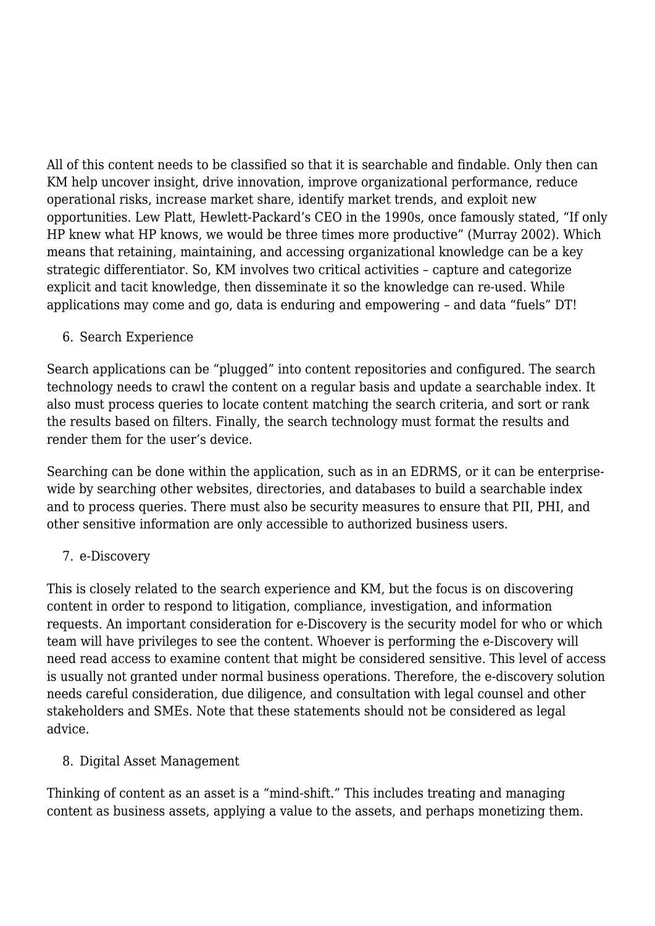All of this content needs to be classified so that it is searchable and findable. Only then can KM help uncover insight, drive innovation, improve organizational performance, reduce operational risks, increase market share, identify market trends, and exploit new opportunities. Lew Platt, Hewlett-Packard's CEO in the 1990s, once famously stated, "If only HP knew what HP knows, we would be three times more productive" (Murray 2002). Which means that retaining, maintaining, and accessing organizational knowledge can be a key strategic differentiator. So, KM involves two critical activities – capture and categorize explicit and tacit knowledge, then disseminate it so the knowledge can re-used. While applications may come and go, data is enduring and empowering – and data "fuels" DT!

6. Search Experience

Search applications can be "plugged" into content repositories and configured. The search technology needs to crawl the content on a regular basis and update a searchable index. It also must process queries to locate content matching the search criteria, and sort or rank the results based on filters. Finally, the search technology must format the results and render them for the user's device.

Searching can be done within the application, such as in an EDRMS, or it can be enterprisewide by searching other websites, directories, and databases to build a searchable index and to process queries. There must also be security measures to ensure that PII, PHI, and other sensitive information are only accessible to authorized business users.

#### 7. e-Discovery

This is closely related to the search experience and KM, but the focus is on discovering content in order to respond to litigation, compliance, investigation, and information requests. An important consideration for e-Discovery is the security model for who or which team will have privileges to see the content. Whoever is performing the e-Discovery will need read access to examine content that might be considered sensitive. This level of access is usually not granted under normal business operations. Therefore, the e-discovery solution needs careful consideration, due diligence, and consultation with legal counsel and other stakeholders and SMEs. Note that these statements should not be considered as legal advice.

8. Digital Asset Management

Thinking of content as an asset is a "mind-shift." This includes treating and managing content as business assets, applying a value to the assets, and perhaps monetizing them.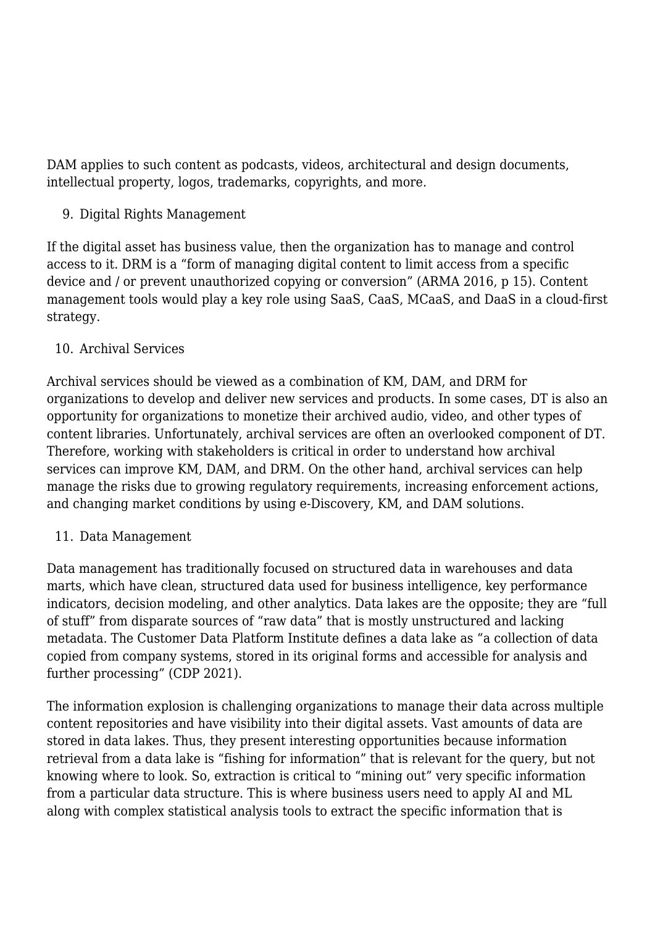DAM applies to such content as podcasts, videos, architectural and design documents, intellectual property, logos, trademarks, copyrights, and more.

### 9. Digital Rights Management

If the digital asset has business value, then the organization has to manage and control access to it. DRM is a "form of managing digital content to limit access from a specific device and / or prevent unauthorized copying or conversion" (ARMA 2016, p 15). Content management tools would play a key role using SaaS, CaaS, MCaaS, and DaaS in a cloud-first strategy.

#### 10. Archival Services

Archival services should be viewed as a combination of KM, DAM, and DRM for organizations to develop and deliver new services and products. In some cases, DT is also an opportunity for organizations to monetize their archived audio, video, and other types of content libraries. Unfortunately, archival services are often an overlooked component of DT. Therefore, working with stakeholders is critical in order to understand how archival services can improve KM, DAM, and DRM. On the other hand, archival services can help manage the risks due to growing regulatory requirements, increasing enforcement actions, and changing market conditions by using e-Discovery, KM, and DAM solutions.

#### 11. Data Management

Data management has traditionally focused on structured data in warehouses and data marts, which have clean, structured data used for business intelligence, key performance indicators, decision modeling, and other analytics. Data lakes are the opposite; they are "full of stuff" from disparate sources of "raw data" that is mostly unstructured and lacking metadata. The Customer Data Platform Institute defines a data lake as "a collection of data copied from company systems, stored in its original forms and accessible for analysis and further processing" (CDP 2021).

The information explosion is challenging organizations to manage their data across multiple content repositories and have visibility into their digital assets. Vast amounts of data are stored in data lakes. Thus, they present interesting opportunities because information retrieval from a data lake is "fishing for information" that is relevant for the query, but not knowing where to look. So, extraction is critical to "mining out" very specific information from a particular data structure. This is where business users need to apply AI and ML along with complex statistical analysis tools to extract the specific information that is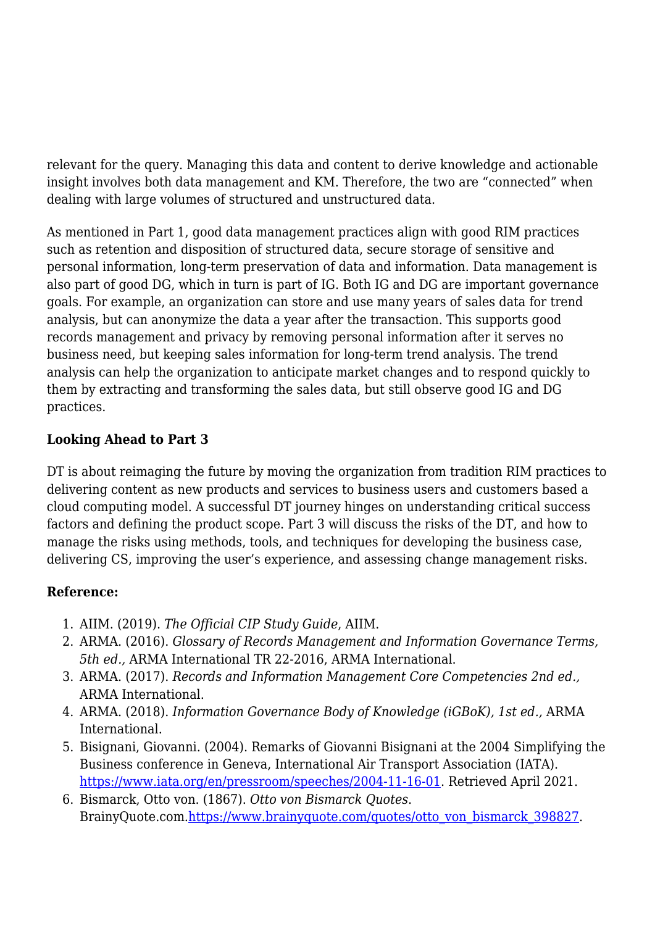relevant for the query. Managing this data and content to derive knowledge and actionable insight involves both data management and KM. Therefore, the two are "connected" when dealing with large volumes of structured and unstructured data.

As mentioned in Part 1, good data management practices align with good RIM practices such as retention and disposition of structured data, secure storage of sensitive and personal information, long-term preservation of data and information. Data management is also part of good DG, which in turn is part of IG. Both IG and DG are important governance goals. For example, an organization can store and use many years of sales data for trend analysis, but can anonymize the data a year after the transaction. This supports good records management and privacy by removing personal information after it serves no business need, but keeping sales information for long-term trend analysis. The trend analysis can help the organization to anticipate market changes and to respond quickly to them by extracting and transforming the sales data, but still observe good IG and DG practices.

#### **Looking Ahead to Part 3**

DT is about reimaging the future by moving the organization from tradition RIM practices to delivering content as new products and services to business users and customers based a cloud computing model. A successful DT journey hinges on understanding critical success factors and defining the product scope. Part 3 will discuss the risks of the DT, and how to manage the risks using methods, tools, and techniques for developing the business case, delivering CS, improving the user's experience, and assessing change management risks.

#### **Reference:**

- 1. AIIM. (2019). *The Official CIP Study Guide*, AIIM.
- 2. ARMA. (2016). *Glossary of Records Management and Information Governance Terms, 5th ed.,* ARMA International TR 22-2016, ARMA International.
- 3. ARMA. (2017). *Records and Information Management Core Competencies 2nd ed.,* ARMA International.
- 4. ARMA. (2018). *Information Governance Body of Knowledge (iGBoK), 1st ed.,* ARMA International.
- 5. Bisignani, Giovanni. (2004). Remarks of Giovanni Bisignani at the 2004 Simplifying the Business conference in Geneva, International Air Transport Association (IATA). [https://www.iata.org/en/pressroom/speeches/2004-11-16-01.](https://www.iata.org/en/pressroom/speeches/2004-11-16-01) Retrieved April 2021.
- 6. Bismarck, Otto von. (1867). *Otto von Bismarck Quotes*. BrainyQuote.com[.https://www.brainyquote.com/quotes/otto\\_von\\_bismarck\\_398827.](https://www.brainyquote.com/quotes/otto_von_bismarck_398827)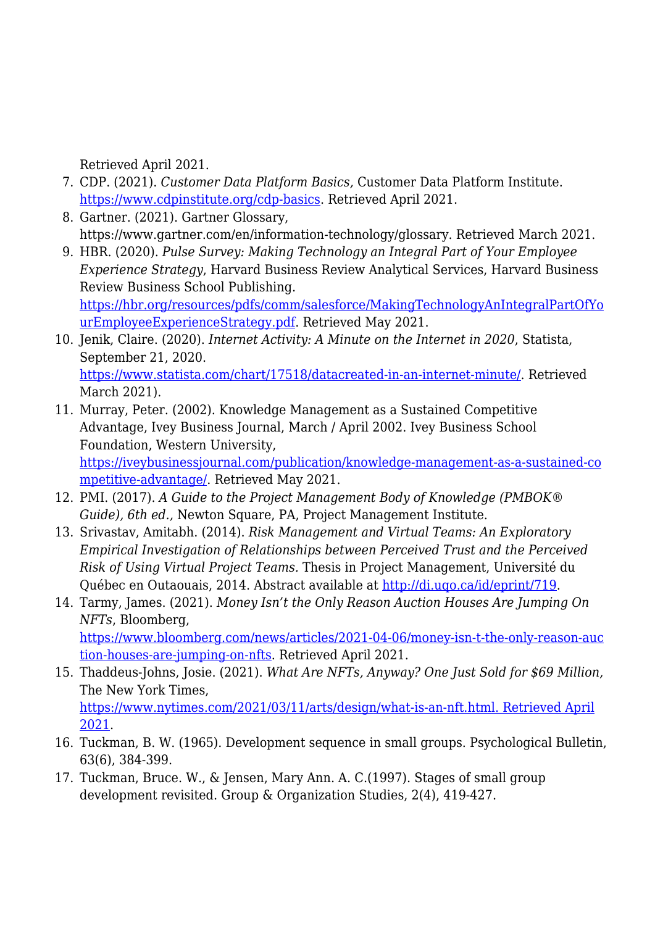Retrieved April 2021.

- 7. CDP. (2021). *Customer Data Platform Basics,* Customer Data Platform Institute. <https://www.cdpinstitute.org/cdp-basics>. Retrieved April 2021.
- 8. Gartner. (2021). Gartner Glossary, https://www.gartner.com/en/information-technology/glossary. Retrieved March 2021.
- 9. HBR. (2020). *Pulse Survey: Making Technology an Integral Part of Your Employee Experience Strategy*, Harvard Business Review Analytical Services, Harvard Business Review Business School Publishing. [https://hbr.org/resources/pdfs/comm/salesforce/MakingTechnologyAnIntegralPartOfYo](https://hbr.org/resources/pdfs/comm/salesforce/MakingTechnologyAnIntegralPartOfYourEmployeeExperienceStrategy.pdf) [urEmployeeExperienceStrategy.pdf](https://hbr.org/resources/pdfs/comm/salesforce/MakingTechnologyAnIntegralPartOfYourEmployeeExperienceStrategy.pdf). Retrieved May 2021.
- 10. Jenik, Claire. (2020). *Internet Activity: A Minute on the Internet in 2020*, Statista, September 21, 2020. [https://www.statista.com/chart/17518/datacreated-in-an-internet-minute/.](https://www.statista.com/chart/17518/datacreated-in-an-internet-minute/) Retrieved March 2021).
- 11. Murray, Peter. (2002). Knowledge Management as a Sustained Competitive Advantage, Ivey Business Journal, March / April 2002. Ivey Business School Foundation, Western University, [https://iveybusinessjournal.com/publication/knowledge-management-as-a-sustained-co](https://iveybusinessjournal.com/publication/knowledge-management-as-a-sustained-competitive-advantage/) [mpetitive-advantage/](https://iveybusinessjournal.com/publication/knowledge-management-as-a-sustained-competitive-advantage/). Retrieved May 2021.
- 12. PMI. (2017). *A Guide to the Project Management Body of Knowledge (PMBOK® Guide), 6th ed.,* Newton Square, PA, Project Management Institute.
- 13. Srivastav, Amitabh. (2014). *Risk Management and Virtual Teams: An Exploratory Empirical Investigation of Relationships between Perceived Trust and the Perceived Risk of Using Virtual Project Teams.* Thesis in Project Management, Université du Québec en Outaouais, 2014. Abstract available at <http://di.uqo.ca/id/eprint/719>.
- 14. Tarmy, James. (2021). *Money Isn't the Only Reason Auction Houses Are Jumping On NFTs*, Bloomberg, [https://www.bloomberg.com/news/articles/2021-04-06/money-isn-t-the-only-reason-auc](https://www.bloomberg.com/news/articles/2021-04-06/money-isn-t-the-only-reason-auction-houses-are-jumping-on-nfts)

[tion-houses-are-jumping-on-nfts.](https://www.bloomberg.com/news/articles/2021-04-06/money-isn-t-the-only-reason-auction-houses-are-jumping-on-nfts) Retrieved April 2021.

- 15. Thaddeus-Johns, Josie. (2021). *What Are NFTs, Anyway? One Just Sold for \$69 Million,* The New York Times, [https://www.nytimes.com/2021/03/11/arts/design/what-is-an-nft.html. Retrieved April](https://www.nytimes.com/2021/03/11/arts/design/what-is-an-nft.html.%20Retrieved%20April%202021) [2021.](https://www.nytimes.com/2021/03/11/arts/design/what-is-an-nft.html.%20Retrieved%20April%202021)
- 16. Tuckman, B. W. (1965). Development sequence in small groups. Psychological Bulletin, 63(6), 384-399.
- 17. Tuckman, Bruce. W., & Jensen, Mary Ann. A. C.(1997). Stages of small group development revisited. Group & Organization Studies, 2(4), 419-427.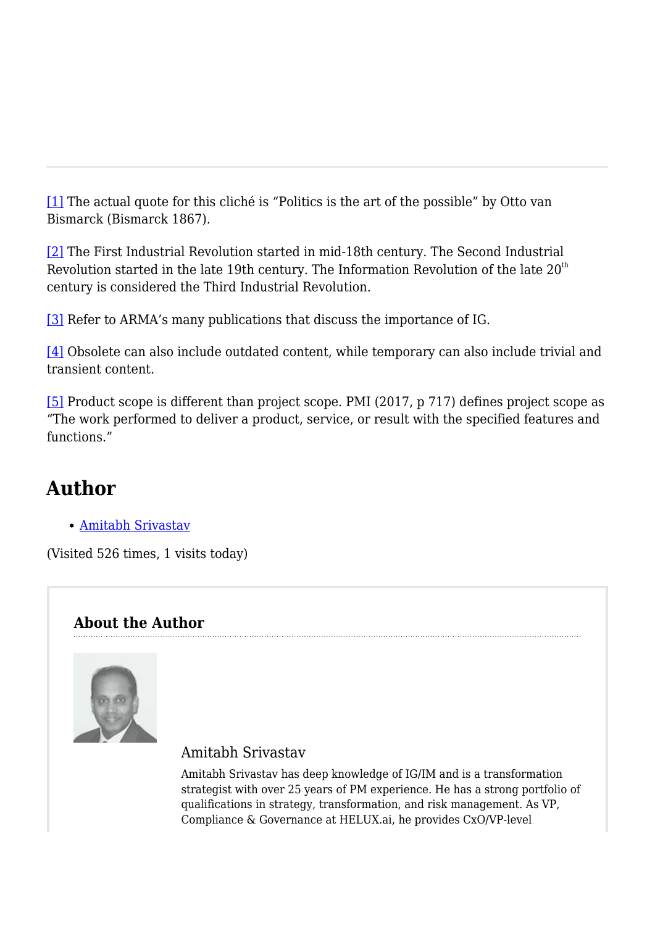[\[1\]](#page--1-0) The actual quote for this cliché is "Politics is the art of the possible" by Otto van Bismarck (Bismarck 1867).

[\[2\]](#page--1-0) The First Industrial Revolution started in mid-18th century. The Second Industrial Revolution started in the late 19th century. The Information Revolution of the late  $20<sup>th</sup>$ century is considered the Third Industrial Revolution.

[\[3\]](#page--1-0) Refer to ARMA's many publications that discuss the importance of IG.

[\[4\]](#page--1-0) Obsolete can also include outdated content, while temporary can also include trivial and transient content.

[\[5\]](#page--1-0) Product scope is different than project scope. PMI (2017, p 717) defines project scope as "The work performed to deliver a product, service, or result with the specified features and functions."

# **Author**

[Amitabh Srivastav](https://magazine.arma.org/author/asrivastav/)

(Visited 526 times, 1 visits today)

# **About the Author**



# Amitabh Srivastav

Amitabh Srivastav has deep knowledge of IG/IM and is a transformation strategist with over 25 years of PM experience. He has a strong portfolio of qualifications in strategy, transformation, and risk management. As VP, Compliance & Governance at HELUX.ai, he provides CxO/VP-level